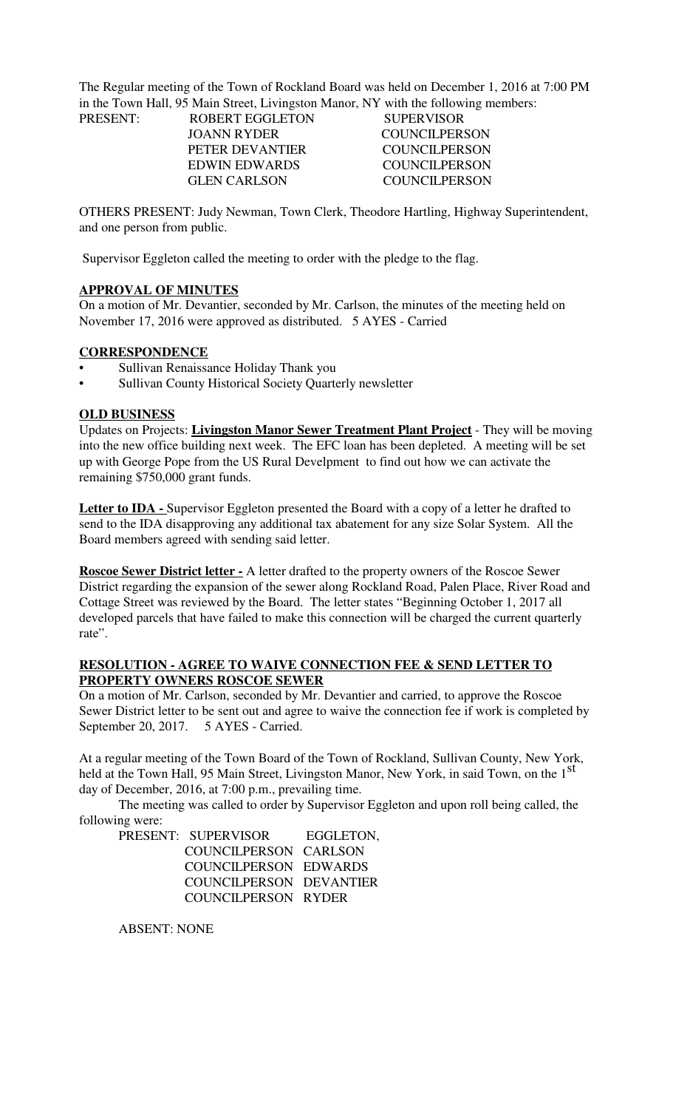The Regular meeting of the Town of Rockland Board was held on December 1, 2016 at 7:00 PM in the Town Hall, 95 Main Street, Livingston Manor, NY with the following members:

| PRESENT: | <b>ROBERT EGGLETON</b> | <b>SUPERVISOR</b>    |
|----------|------------------------|----------------------|
|          | JOANN RYDER            | <b>COUNCILPERSON</b> |
|          | PETER DEVANTIER        | <b>COUNCILPERSON</b> |
|          | <b>EDWIN EDWARDS</b>   | <b>COUNCILPERSON</b> |
|          | <b>GLEN CARLSON</b>    | COUNCILPERSON        |
|          |                        |                      |

OTHERS PRESENT: Judy Newman, Town Clerk, Theodore Hartling, Highway Superintendent, and one person from public.

Supervisor Eggleton called the meeting to order with the pledge to the flag.

## **APPROVAL OF MINUTES**

On a motion of Mr. Devantier, seconded by Mr. Carlson, the minutes of the meeting held on November 17, 2016 were approved as distributed. 5 AYES - Carried

## **CORRESPONDENCE**

- Sullivan Renaissance Holiday Thank you
- Sullivan County Historical Society Quarterly newsletter

### **OLD BUSINESS**

Updates on Projects: **Livingston Manor Sewer Treatment Plant Project** - They will be moving into the new office building next week. The EFC loan has been depleted. A meeting will be set up with George Pope from the US Rural Develpment to find out how we can activate the remaining \$750,000 grant funds.

Letter to **IDA** - Supervisor Eggleton presented the Board with a copy of a letter he drafted to send to the IDA disapproving any additional tax abatement for any size Solar System. All the Board members agreed with sending said letter.

**Roscoe Sewer District letter -** A letter drafted to the property owners of the Roscoe Sewer District regarding the expansion of the sewer along Rockland Road, Palen Place, River Road and Cottage Street was reviewed by the Board. The letter states "Beginning October 1, 2017 all developed parcels that have failed to make this connection will be charged the current quarterly rate".

### **RESOLUTION - AGREE TO WAIVE CONNECTION FEE & SEND LETTER TO PROPERTY OWNERS ROSCOE SEWER**

On a motion of Mr. Carlson, seconded by Mr. Devantier and carried, to approve the Roscoe Sewer District letter to be sent out and agree to waive the connection fee if work is completed by September 20, 2017. 5 AYES - Carried.

At a regular meeting of the Town Board of the Town of Rockland, Sullivan County, New York, held at the Town Hall, 95 Main Street, Livingston Manor, New York, in said Town, on the 1<sup>St</sup> day of December, 2016, at 7:00 p.m., prevailing time.

The meeting was called to order by Supervisor Eggleton and upon roll being called, the following were:

| PRESENT: SUPERVISOR     | EGGLETON. |
|-------------------------|-----------|
| COUNCILPERSON CARLSON   |           |
| COUNCILPERSON EDWARDS   |           |
| COUNCILPERSON DEVANTIER |           |
| COUNCILPERSON RYDER     |           |

ABSENT: NONE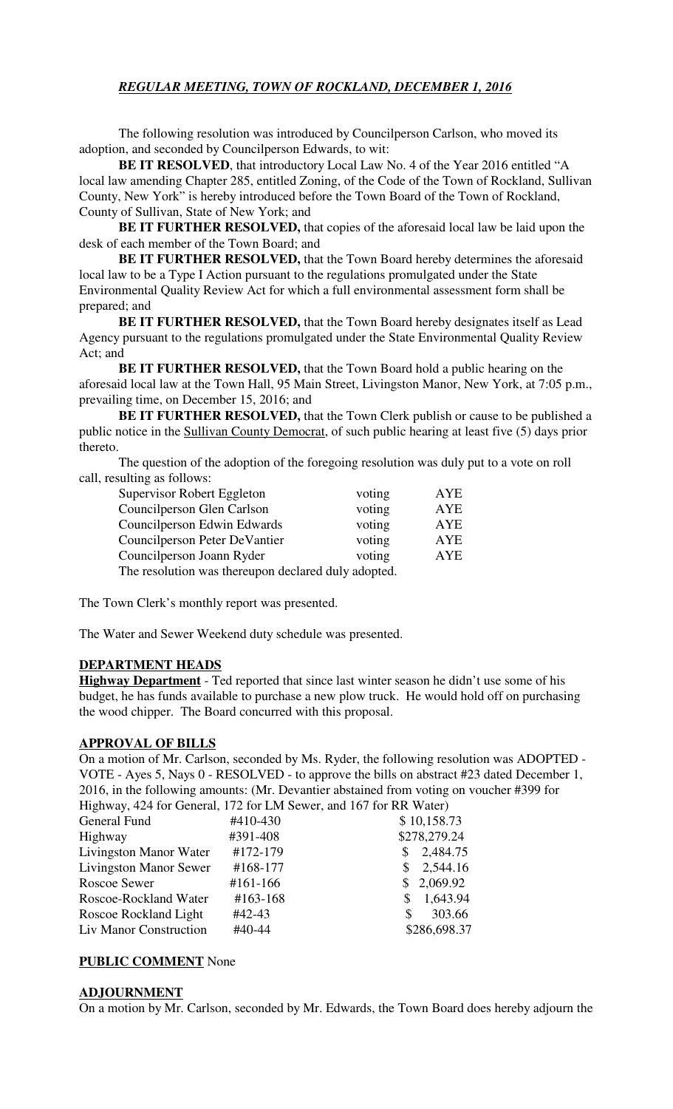# *REGULAR MEETING, TOWN OF ROCKLAND, DECEMBER 1, 2016*

The following resolution was introduced by Councilperson Carlson, who moved its adoption, and seconded by Councilperson Edwards, to wit:

**BE IT RESOLVED**, that introductory Local Law No. 4 of the Year 2016 entitled "A local law amending Chapter 285, entitled Zoning, of the Code of the Town of Rockland, Sullivan County, New York" is hereby introduced before the Town Board of the Town of Rockland, County of Sullivan, State of New York; and

**BE IT FURTHER RESOLVED,** that copies of the aforesaid local law be laid upon the desk of each member of the Town Board; and

**BE IT FURTHER RESOLVED,** that the Town Board hereby determines the aforesaid local law to be a Type I Action pursuant to the regulations promulgated under the State Environmental Quality Review Act for which a full environmental assessment form shall be prepared; and

**BE IT FURTHER RESOLVED,** that the Town Board hereby designates itself as Lead Agency pursuant to the regulations promulgated under the State Environmental Quality Review Act; and

**BE IT FURTHER RESOLVED,** that the Town Board hold a public hearing on the aforesaid local law at the Town Hall, 95 Main Street, Livingston Manor, New York, at 7:05 p.m., prevailing time, on December 15, 2016; and

**BE IT FURTHER RESOLVED, that the Town Clerk publish or cause to be published a** public notice in the Sullivan County Democrat, of such public hearing at least five (5) days prior thereto.

The question of the adoption of the foregoing resolution was duly put to a vote on roll call, resulting as follows:

| Supervisor Robert Eggleton                          | voting | AYE        |  |  |
|-----------------------------------------------------|--------|------------|--|--|
| Councilperson Glen Carlson                          | voting | <b>AYE</b> |  |  |
| Councilperson Edwin Edwards                         | voting | AYE        |  |  |
| Councilperson Peter DeVantier                       | voting | AYE        |  |  |
| Councilperson Joann Ryder                           | voting | <b>AYE</b> |  |  |
| The resolution was thereupon declared duly adopted. |        |            |  |  |

The Town Clerk's monthly report was presented.

The Water and Sewer Weekend duty schedule was presented.

## **DEPARTMENT HEADS**

**Highway Department** - Ted reported that since last winter season he didn't use some of his budget, he has funds available to purchase a new plow truck. He would hold off on purchasing the wood chipper. The Board concurred with this proposal.

## **APPROVAL OF BILLS**

On a motion of Mr. Carlson, seconded by Ms. Ryder, the following resolution was ADOPTED - VOTE - Ayes 5, Nays 0 - RESOLVED - to approve the bills on abstract #23 dated December 1, 2016, in the following amounts: (Mr. Devantier abstained from voting on voucher #399 for Highway, 424 for General, 172 for LM Sewer, and 167 for RR Water)

| $\pi$ rigilway, 424 for General, 172 for Live Sewer, and 107 for KK water) |          |                      |
|----------------------------------------------------------------------------|----------|----------------------|
| General Fund                                                               | #410-430 | \$10,158.73          |
| Highway                                                                    | #391-408 | \$278,279.24         |
| Livingston Manor Water                                                     | #172-179 | 2,484.75<br>S.       |
| <b>Livingston Manor Sewer</b>                                              | #168-177 | 2,544.16<br>S.       |
| Roscoe Sewer                                                               | #161-166 | \$2,069.92           |
| Roscoe-Rockland Water                                                      | #163-168 | 1,643.94<br><b>S</b> |
| Roscoe Rockland Light                                                      | #42-43   | 303.66<br>\$.        |
| Liv Manor Construction                                                     | #40-44   | \$286,698.37         |

## **PUBLIC COMMENT** None

### **ADJOURNMENT**

On a motion by Mr. Carlson, seconded by Mr. Edwards, the Town Board does hereby adjourn the